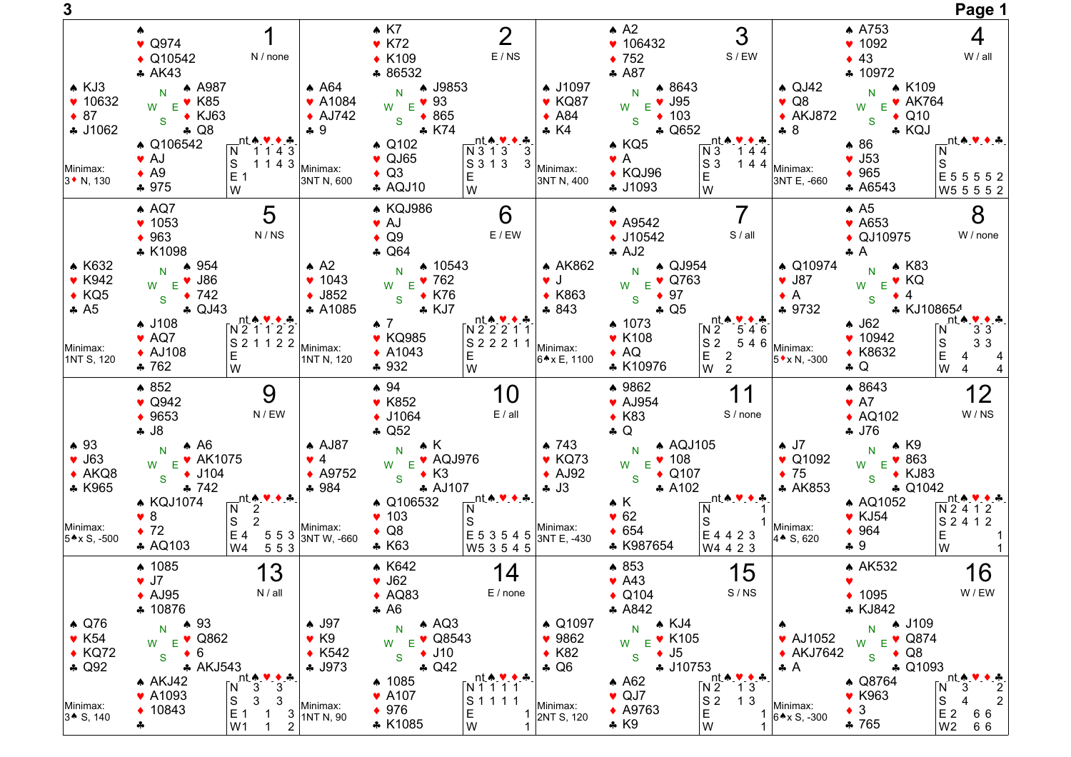